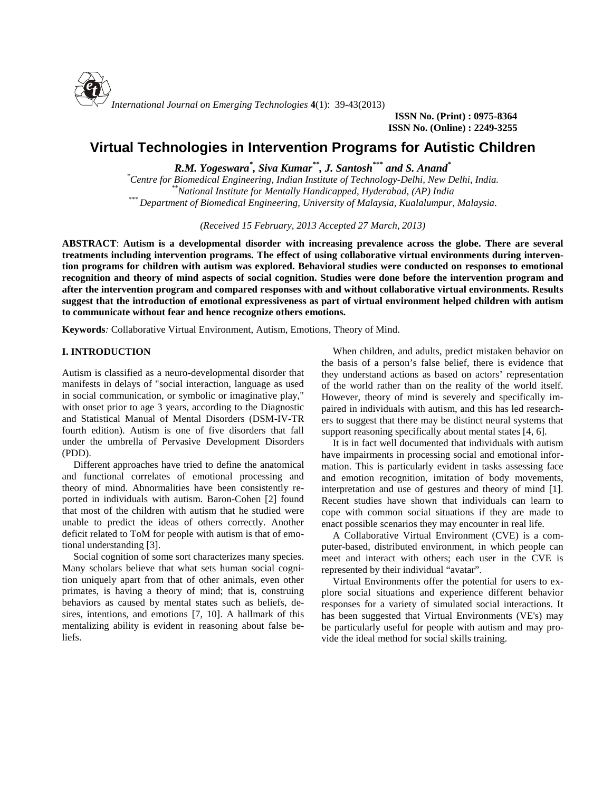

**ISSN No. (Print) : 0975-8364 ISSN No. (Online) : 2249-3255**

# **Virtual Technologies in Intervention Programs for Autistic Children**

*R.M. Yogeswara\* , Siva Kumar\*\* , J. Santosh\*\*\* and S. Anand\**

*\*Centre for Biomedical Engineering, Indian Institute of Technology-Delhi, New Delhi, India. \*\*National Institute for Mentally Handicapped, Hyderabad, (AP) India \*\*\* Department of Biomedical Engineering, University of Malaysia, Kualalumpur, Malaysia.*

*(Received 15 February, 2013 Accepted 27 March, 2013)*

**ABSTRACT**: **Autism is a developmental disorder with increasing prevalence across the globe. There are several treatments including intervention programs. The effect of using collaborative virtual environments during intervention programs for children with autism was explored. Behavioral studies were conducted on responses to emotional recognition and theory of mind aspects of social cognition. Studies were done before the intervention program and after the intervention program and compared responses with and without collaborative virtual environments. Results suggest that the introduction of emotional expressiveness as part of virtual environment helped children with autism to communicate without fear and hence recognize others emotions.**

**Keywords***:* Collaborative Virtual Environment, Autism, Emotions, Theory of Mind.

# **I. INTRODUCTION**

Autism is classified as a neuro-developmental disorder that manifests in delays of "social interaction, language as used in social communication, or symbolic or imaginative play," with onset prior to age 3 years, according to the Diagnostic and Statistical Manual of Mental Disorders (DSM-IV-TR fourth edition). Autism is one of five disorders that fall under the umbrella of Pervasive Development Disorders (PDD).

Different approaches have tried to define the anatomical and functional correlates of emotional processing and theory of mind. Abnormalities have been consistently reported in individuals with autism. Baron-Cohen [2] found that most of the children with autism that he studied were unable to predict the ideas of others correctly. Another deficit related to ToM for people with autism is that of emotional understanding [3].

Social cognition of some sort characterizes many species. Many scholars believe that what sets human social cognition uniquely apart from that of other animals, even other primates, is having a theory of mind; that is, construing behaviors as caused by mental states such as beliefs, desires, intentions, and emotions [7, 10]. A hallmark of this mentalizing ability is evident in reasoning about false beliefs.

When children, and adults, predict mistaken behavior on the basis of a person's false belief, there is evidence that they understand actions as based on actors' representation of the world rather than on the reality of the world itself. However, theory of mind is severely and specifically impaired in individuals with autism, and this has led researchers to suggest that there may be distinct neural systems that support reasoning specifically about mental states [4, 6].

It is in fact well documented that individuals with autism have impairments in processing social and emotional information. This is particularly evident in tasks assessing face and emotion recognition, imitation of body movements, interpretation and use of gestures and theory of mind [1]. Recent studies have shown that individuals can learn to cope with common social situations if they are made to enact possible scenarios they may encounter in real life.

A Collaborative Virtual Environment (CVE) is a computer-based, distributed environment, in which people can meet and interact with others; each user in the CVE is represented by their individual "avatar".

Virtual Environments offer the potential for users to ex plore social situations and experience different behavior responses for a variety of simulated social interactions. It has been suggested that Virtual Environments (VE's) may be particularly useful for people with autism and may provide the ideal method for social skills training.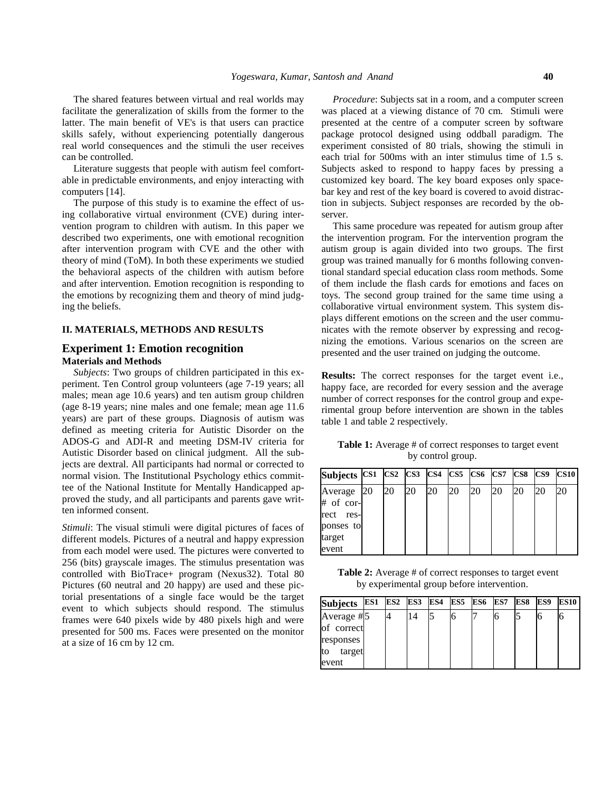The shared features between virtual and real worlds may facilitate the generalization of skills from the former to the latter. The main benefit of VE's is that users can practice skills safely, without experiencing potentially dangerous real world consequences and the stimuli the user receives can be controlled.

Literature suggests that people with autism feel comfortable in predictable environments, and enjoy interacting with computers [14].

The purpose of this study is to examine the effect of using collaborative virtual environment (CVE) during intervention program to children with autism. In this paper we described two experiments, one with emotional recognition after intervention program with CVE and the other with theory of mind (ToM). In both these experiments we studied the behavioral aspects of the children with autism before and after intervention. Emotion recognition is responding to the emotions by recognizing them and theory of mind judging the beliefs.

## **II. MATERIALS, METHODS AND RESULTS**

## **Experiment 1: Emotion recognition Materials and Methods**

*Subjects*: Two groups of children participated in this ex periment. Ten Control group volunteers (age 7-19 years; all males; mean age 10.6 years) and ten autism group children (age 8-19 years; nine males and one female; mean age 11.6 years) are part of these groups. Diagnosis of autism was defined as meeting criteria for Autistic Disorder on the ADOS-G and ADI-R and meeting DSM-IV criteria for Autistic Disorder based on clinical judgment. All the subjects are dextral. All participants had normal or corrected to normal vision. The Institutional Psychology ethics committee of the National Institute for Mentally Handicapped approved the study, and all participants and parents gave written informed consent.

*Stimuli*: The visual stimuli were digital pictures of faces of different models. Pictures of a neutral and happy expression from each model were used. The pictures were converted to 256 (bits) grayscale images. The stimulus presentation was controlled with BioTrace+ program (Nexus32). Total 80 Pictures (60 neutral and 20 happy) are used and these pictorial presentations of a single face would be the target event to which subjects should respond. The stimulus frames were 640 pixels wide by 480 pixels high and were presented for 500 ms. Faces were presented on the monitor at a size of 16 cm by 12 cm.

*Procedure*: Subjects sat in a room, and a computer screen was placed at a viewing distance of 70 cm. Stimuli were presented at the centre of a computer screen by software package protocol designed using oddball paradigm. The experiment consisted of 80 trials, showing the stimuli in each trial for 500ms with an inter stimulus time of 1.5 s. Subjects asked to respond to happy faces by pressing a customized key board. The key board exposes only spacebar key and rest of the key board is covered to avoid distraction in subjects. Subject responses are recorded by the observer.

This same procedure was repeated for autism group after the intervention program. For the intervention program the autism group is again divided into two groups. The first group was trained manually for 6 months following conventional standard special education class room methods. Some of them include the flash cards for emotions and faces on toys. The second group trained for the same time using a collaborative virtual environment system. This system displays different emotions on the screen and the user communicates with the remote observer by expressing and recognizing the emotions. Various scenarios on the screen are presented and the user trained on judging the outcome.

**Results:** The correct responses for the target event i.e., happy face, are recorded for every session and the average number of correct responses for the control group and experimental group before intervention are shown in the tables table 1 and table 2 respectively.

Table 1: Average # of correct responses to target event by control group.

| Subjects CS1 CS2 CS3 CS4 CS5 CS6 CS7 CS8 |    |    |    |    |    |    |    | $\bf CS9$ | <b>CS10</b> |
|------------------------------------------|----|----|----|----|----|----|----|-----------|-------------|
| Average 20<br># of cor-                  | 20 | 20 | 20 | 20 | 20 | 20 | 20 | 20        | 20          |
| rect<br>res-<br>ponses to                |    |    |    |    |    |    |    |           |             |
| target<br>event                          |    |    |    |    |    |    |    |           |             |

**Table 2:** Average # of correct responses to target event by experimental group before intervention.

| Subjects ES1  |  | ES2 ES3 ES4 | ES5 | ES6 | ES7 | ES8 | ES9 | <b>ES10</b> |
|---------------|--|-------------|-----|-----|-----|-----|-----|-------------|
| Average #5    |  | 14          | O   |     | Ю   |     |     | ю           |
| of correct    |  |             |     |     |     |     |     |             |
| responses     |  |             |     |     |     |     |     |             |
| target<br>Ito |  |             |     |     |     |     |     |             |
| event         |  |             |     |     |     |     |     |             |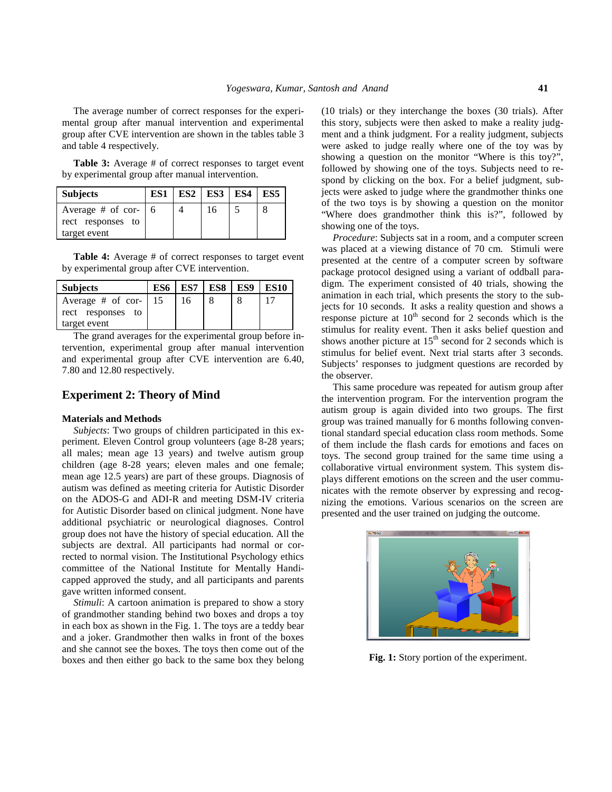The average number of correct responses for the experimental group after manual intervention and experimental group after CVE intervention are shown in the tables table 3 and table 4 respectively.

**Table 3:** Average # of correct responses to target event by experimental group after manual intervention.

| <b>Subjects</b>                                        | ES1 | $ES2$ $ES3$ $ES4$ | ES5 |
|--------------------------------------------------------|-----|-------------------|-----|
| Average # of cor- $\vert 6 \vert$<br>rect responses to |     | 16                |     |
| target event                                           |     |                   |     |

**Table 4:** Average # of correct responses to target event by experimental group after CVE intervention.

| <b>Subjects</b>     | ES6 | ES7 | ES8 | ES9 | <b>ES10</b> |  |
|---------------------|-----|-----|-----|-----|-------------|--|
| Average $#$ of cor- | 15  | 16  |     |     |             |  |
| rect responses to   |     |     |     |     |             |  |
| target event        |     |     |     |     |             |  |

The grand averages for the experimental group before intervention, experimental group after manual intervention and experimental group after CVE intervention are 6.40, 7.80 and 12.80 respectively.

## **Experiment 2: Theory of Mind**

#### **Materials and Methods**

*Subjects*: Two groups of children participated in this ex periment. Eleven Control group volunteers (age 8-28 years; all males; mean age 13 years) and twelve autism group children (age 8-28 years; eleven males and one female; mean age 12.5 years) are part of these groups. Diagnosis of autism was defined as meeting criteria for Autistic Disorder on the ADOS-G and ADI-R and meeting DSM-IV criteria for Autistic Disorder based on clinical judgment. None have additional psychiatric or neurological diagnoses. Control group does not have the history of special education. All the subjects are dextral. All participants had normal or corrected to normal vision. The Institutional Psychology ethics committee of the National Institute for Mentally Handicapped approved the study, and all participants and parents gave written informed consent.

*Stimuli*: A cartoon animation is prepared to show a story of grandmother standing behind two boxes and drops a toy in each box as shown in the Fig. 1. The toys are a teddy bear and a joker. Grandmother then walks in front of the boxes and she cannot see the boxes. The toys then come out of the boxes and then either go back to the same box they belong

(10 trials) or they interchange the boxes (30 trials). After this story, subjects were then asked to make a reality judgment and a think judgment. For a reality judgment, subjects were asked to judge really where one of the toy was by showing a question on the monitor "Where is this toy?", followed by showing one of the toys. Subjects need to respond by clicking on the box. For a belief judgment, subjects were asked to judge where the grandmother thinks one of the two toys is by showing a question on the monitor "Where does grandmother think this is?", followed by showing one of the toys.

*Procedure*: Subjects sat in a room, and a computer screen was placed at a viewing distance of 70 cm. Stimuli were presented at the centre of a computer screen by software package protocol designed using a variant of oddball paradigm. The experiment consisted of 40 trials, showing the animation in each trial, which presents the story to the subjects for 10 seconds. It asks a reality question and shows a response picture at  $10^{th}$  second for 2 seconds which is the stimulus for reality event. Then it asks belief question and shows another picture at  $15<sup>th</sup>$  second for 2 seconds which is stimulus for belief event. Next trial starts after 3 seconds. Subjects' responses to judgment questions are recorded by the observer.

This same procedure was repeated for autism group after the intervention program. For the intervention program the autism group is again divided into two groups. The first group was trained manually for 6 months following conventional standard special education class room methods. Some of them include the flash cards for emotions and faces on toys. The second group trained for the same time using a collaborative virtual environment system. This system displays different emotions on the screen and the user communicates with the remote observer by expressing and recognizing the emotions. Various scenarios on the screen are presented and the user trained on judging the outcome.



**Fig. 1:** Story portion of the experiment.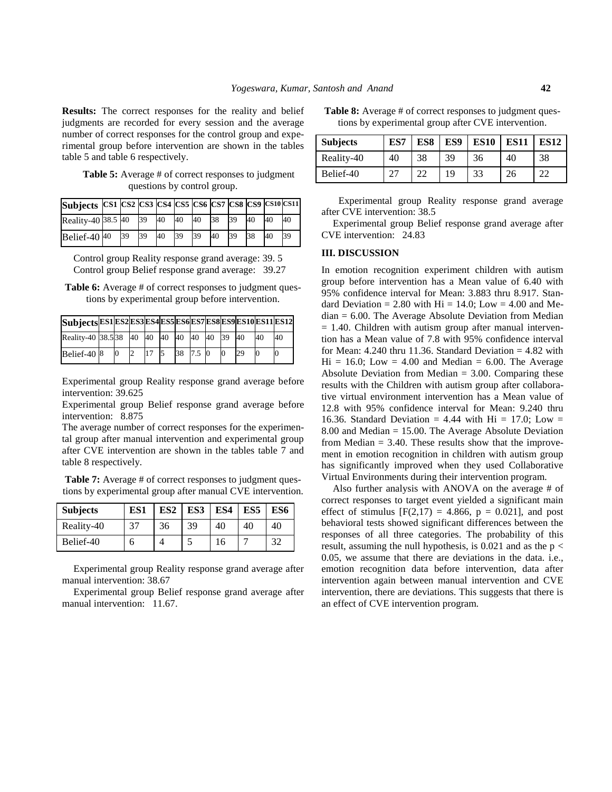**Results:** The correct responses for the reality and belief judgments are recorded for every session and the average number of correct responses for the control group and experimental group before intervention are shown in the tables table 5 and table 6 respectively.

Table 5: Average # of correct responses to judgment questions by control group.

| Subjects CS1 CS2 CS3 CS4 CS5 CS6 CS7 CS8 CS9 CS10 CS11 |    |    |    |    |    |    |    |    |    |    |  |
|--------------------------------------------------------|----|----|----|----|----|----|----|----|----|----|--|
| Reality-40 38.5 40                                     |    | 39 | 40 | 40 | 40 | 38 | 39 | 40 | 40 | 40 |  |
| Belief-40 $40$                                         | 39 | 39 | 40 | 39 | 39 | 40 | 39 | 38 | 40 | 39 |  |

Control group Reality response grand average: 39. 5 Control group Belief response grand average: 39.27

**Table 6:** Average # of correct responses to judgment questions by experimental group before intervention.

| Subjects ES1 ES2 ES3 ES4 ES5 ES6 ES7 ES8 ES9 ES10 ES11 ES12 |   |    |    |    |          |          |    |    |    |
|-------------------------------------------------------------|---|----|----|----|----------|----------|----|----|----|
| Reality-40 38.5 38 40 40 40 40 40 40 59 40                  |   |    |    |    |          |          |    | 40 | 40 |
| Belief-40 <sup>8</sup>                                      | Ю | 12 | 17 | 38 | $7.5\,0$ | $\Omega$ | 29 |    |    |

Experimental group Reality response grand average before intervention: 39.625

Experimental group Belief response grand average before intervention: 8.875

The average number of correct responses for the experimental group after manual intervention and experimental group after CVE intervention are shown in the tables table 7 and table 8 respectively.

**Table 7:** Average # of correct responses to judgment questions by experimental group after manual CVE intervention.

| <b>Subjects</b> | ES1 | ES <sub>2</sub> | ES3 | ES4 | ES <sub>5</sub> | ES6 |  |
|-----------------|-----|-----------------|-----|-----|-----------------|-----|--|
| Reality-40      |     | 36              | 39  | 40  | 40              | 40  |  |
| Belief-40       | O   |                 |     | 16  |                 | 32  |  |

Experimental group Reality response grand average after manual intervention: 38.67

Experimental group Belief response grand average after manual intervention: 11.67.

**Table 8:** Average # of correct responses to judgment questions by experimental group after CVE intervention.

| <b>Subjects</b> | ES7 | ES8           | ES9 | <b>ES10</b> | <b>ES11</b> | <b>ES12</b> |
|-----------------|-----|---------------|-----|-------------|-------------|-------------|
| Reality-40      | 40  | 38            | 39  | 36          | 40          | 38          |
| Belief-40       | 27  | $\mathcal{D}$ | 19  | 33          | 26          | ാ           |

Experimental group Reality response grand average after CVE intervention: 38.5

Experimental group Belief response grand average after CVE intervention: 24.83

## **III. DISCUSSION**

In emotion recognition experiment children with autism group before intervention has a Mean value of 6.40 with 95% confidence interval for Mean: 3.883 thru 8.917. Standard Deviation = 2.80 with  $Hi = 14.0$ : Low = 4.00 and Median = 6.00. The Average Absolute Deviation from Median  $= 1.40$ . Children with autism group after manual intervention has a Mean value of 7.8 with 95% confidence interval for Mean:  $4.240$  thru 11.36. Standard Deviation =  $4.82$  with  $Hi = 16.0; Low = 4.00 and Median = 6.00. The Average$ Absolute Deviation from Median  $= 3.00$ . Comparing these results with the Children with autism group after collaborative virtual environment intervention has a Mean value of 12.8 with 95% confidence interval for Mean: 9.240 thru 16.36. Standard Deviation = 4.44 with Hi = 17.0; Low = 8.00 and Median = 15.00. The Average Absolute Deviation from Median  $= 3.40$ . These results show that the improvement in emotion recognition in children with autism group has significantly improved when they used Collaborative Virtual Environments during their intervention program.

Also further analysis with ANOVA on the average # of correct responses to target event yielded a significant main effect of stimulus  $[F(2,17) = 4.866, p = 0.021]$ , and post behavioral tests showed significant differences between the responses of all three categories. The probability of this result, assuming the null hypothesis, is 0.021 and as the  $p <$ 0.05, we assume that there are deviations in the data. i.e., emotion recognition data before intervention, data after intervention again between manual intervention and CVE intervention, there are deviations. This suggests that there is an effect of CVE intervention program.